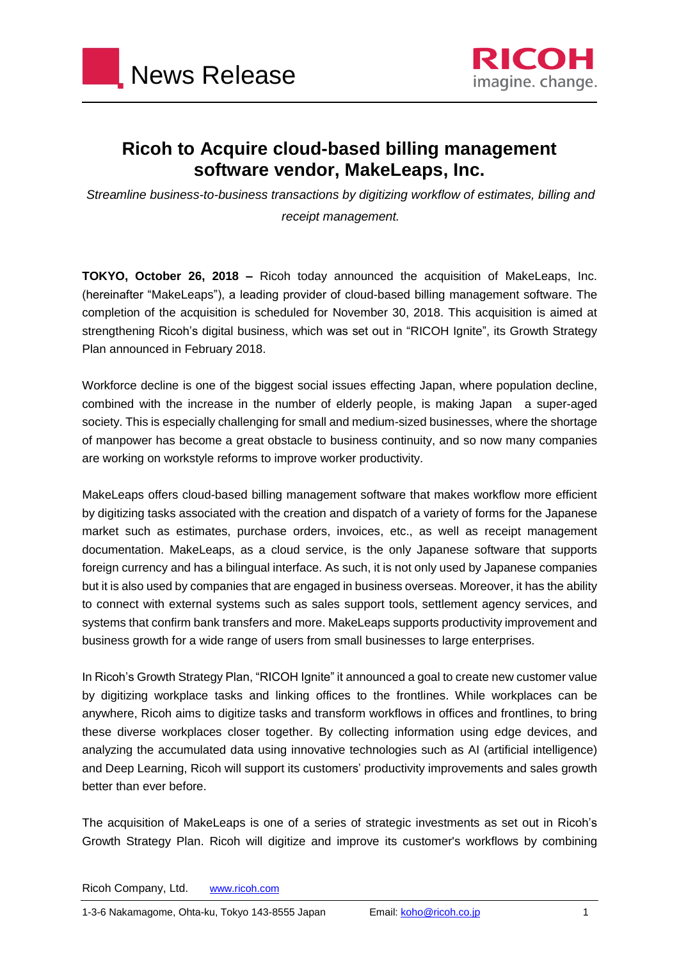



## **Ricoh to Acquire cloud-based billing management software vendor, MakeLeaps, Inc.**

*Streamline business-to-business transactions by digitizing workflow of estimates, billing and receipt management.*

**TOKYO, October 26, 2018 –** Ricoh today announced the acquisition of MakeLeaps, Inc. (hereinafter "MakeLeaps"), a leading provider of cloud-based billing management software. The completion of the acquisition is scheduled for November 30, 2018. This acquisition is aimed at strengthening Ricoh's digital business, which was set out in "RICOH Ignite", its Growth Strategy Plan announced in February 2018.

Workforce decline is one of the biggest social issues effecting Japan, where population decline, combined with the increase in the number of elderly people, is making Japan a super-aged society. This is especially challenging for small and medium-sized businesses, where the shortage of manpower has become a great obstacle to business continuity, and so now many companies are working on workstyle reforms to improve worker productivity.

MakeLeaps offers cloud-based billing management software that makes workflow more efficient by digitizing tasks associated with the creation and dispatch of a variety of forms for the Japanese market such as estimates, purchase orders, invoices, etc., as well as receipt management documentation. MakeLeaps, as a cloud service, is the only Japanese software that supports foreign currency and has a bilingual interface. As such, it is not only used by Japanese companies but it is also used by companies that are engaged in business overseas. Moreover, it has the ability to connect with external systems such as sales support tools, settlement agency services, and systems that confirm bank transfers and more. MakeLeaps supports productivity improvement and business growth for a wide range of users from small businesses to large enterprises.

In Ricoh's Growth Strategy Plan, "RICOH Ignite" it announced a goal to create new customer value by digitizing workplace tasks and linking offices to the frontlines. While workplaces can be anywhere, Ricoh aims to digitize tasks and transform workflows in offices and frontlines, to bring these diverse workplaces closer together. By collecting information using edge devices, and analyzing the accumulated data using innovative technologies such as AI (artificial intelligence) and Deep Learning, Ricoh will support its customers' productivity improvements and sales growth better than ever before.

The acquisition of MakeLeaps is one of a series of strategic investments as set out in Ricoh's Growth Strategy Plan. Ricoh will digitize and improve its customer's workflows by combining

Ricoh Company, Ltd. [www.ricoh.com](http://www.ricoh.com/)